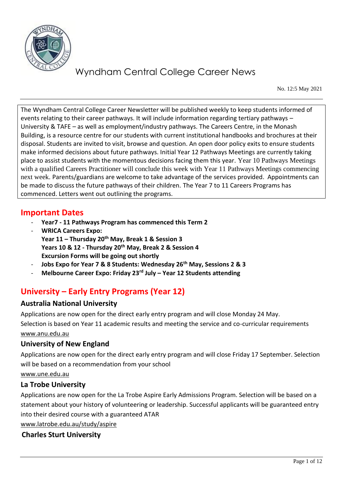

No. 12:5 May 2021

The Wyndham Central College Career Newsletter will be published weekly to keep students informed of events relating to their career pathways. It will include information regarding tertiary pathways – University & TAFE – as well as employment/industry pathways. The Careers Centre, in the Monash Building, is a resource centre for our students with current institutional handbooks and brochures at their disposal. Students are invited to visit, browse and question. An open door policy exits to ensure students make informed decisions about future pathways. Initial Year 12 Pathways Meetings are currently taking place to assist students with the momentous decisions facing them this year. Year 10 Pathways Meetings with a qualified Careers Practitioner will conclude this week with Year 11 Pathways Meetings commencing next week. Parents/guardians are welcome to take advantage of the services provided. Appointments can be made to discuss the future pathways of their children. The Year 7 to 11 Careers Programs has commenced. Letters went out outlining the programs.

## **Important Dates**

- **Year7 - 11 Pathways Program has commenced this Term 2**
- **WRICA Careers Expo: Year 11 – Thursday 20th May, Break 1 & Session 3 Years 10 & 12 - Thursday 20th May, Break 2 & Session 4 Excursion Forms will be going out shortly**
- **Jobs Expo for Year 7 & 8 Students: Wednesday 26th May, Sessions 2 & 3**
- **Melbourne Career Expo: Friday 23rd July – Year 12 Students attending**

# **University – Early Entry Programs (Year 12)**

## **Australia National University**

Applications are now open for the direct early entry program and will close Monday 24 May.

Selection is based on Year 11 academic results and meeting the service and co-curricular requirements [www.anu.edu.au](http://www.anu.edu.au/) 

## **University of New England**

Applications are now open for the direct early entry program and will close Friday 17 September. Selection will be based on a recommendation from your school

#### [www.une.edu.au](http://www.une.edu.au/)

## **La Trobe University**

Applications are now open for the La Trobe Aspire Early Admissions Program. Selection will be based on a statement about your history of volunteering or leadership. Successful applicants will be guaranteed entry into their desired course with a guaranteed ATAR

[www.latrobe.edu.au/study/aspire](http://www.latrobe.edu.au/study/aspire)

## **Charles Sturt University**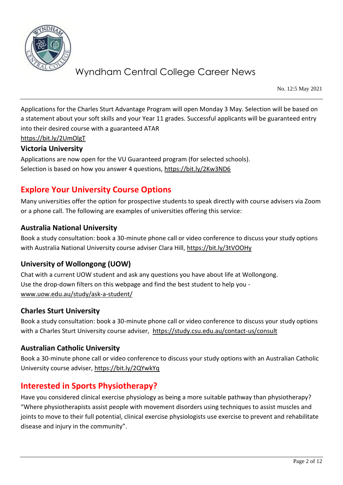

No. 12:5 May 2021

Applications for the Charles Sturt Advantage Program will open Monday 3 May. Selection will be based on a statement about your soft skills and your Year 11 grades. Successful applicants will be guaranteed entry into their desired course with a guaranteed ATAR

<https://bit.ly/2UmOlgT>

#### **Victoria University**

Applications are now open for the VU Guaranteed program (for selected schools). Selection is based on how you answer 4 questions,<https://bit.ly/2Kw3ND6>

# **Explore Your University Course Options**

Many universities offer the option for prospective students to speak directly with course advisers via Zoom or a phone call. The following are examples of universities offering this service:

## **Australia National University**

Book a study consultation: book a 30-minute phone call or video conference to discuss your study options with Australia National University course adviser Clara Hill,<https://bit.ly/3tVOOHy>

## **University of Wollongong (UOW)**

Chat with a current UOW student and ask any questions you have about life at Wollongong. Use the drop-down filters on this webpage and find the best student to help you [www.uow.edu.au/study/ask-a-student/](http://www.uow.edu.au/study/ask-a-student/) 

## **Charles Sturt University**

Book a study consultation: book a 30-minute phone call or video conference to discuss your study options with a Charles Sturt University course adviser, <https://study.csu.edu.au/contact-us/consult>

## **Australian Catholic University**

Book a 30-minute phone call or video conference to discuss your study options with an Australian Catholic University course adviser,<https://bit.ly/2QYwkYq>

# **Interested in Sports Physiotherapy?**

Have you considered clinical exercise physiology as being a more suitable pathway than physiotherapy? "Where physiotherapists assist people with movement disorders using techniques to assist muscles and joints to move to their full potential, clinical exercise physiologists use exercise to prevent and rehabilitate disease and injury in the community".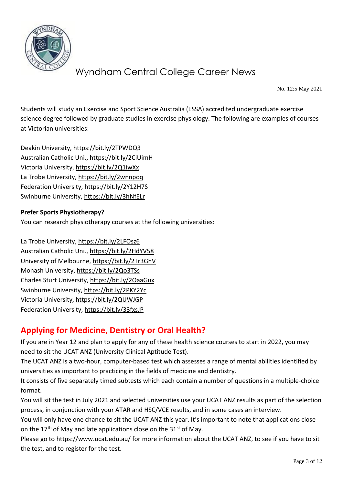

No. 12:5 May 2021

Students will study an Exercise and Sport Science Australia (ESSA) accredited undergraduate exercise science degree followed by graduate studies in exercise physiology. The following are examples of courses at Victorian universities:

Deakin University,<https://bit.ly/2TPWDQ3> Australian Catholic Uni.,<https://bit.ly/2CiUimH> Victoria University,<https://bit.ly/2Q1iwXx> La Trobe University,<https://bit.ly/2wnnpoq> Federation University[, https://bit.ly/2Y12H7S](https://bit.ly/2Y12H7S) Swinburne University,<https://bit.ly/3hNfELr>

#### **Prefer Sports Physiotherapy?**

You can research physiotherapy courses at the following universities:

La Trobe University,<https://bit.ly/2LFOsz6> Australian Catholic Uni.,<https://bit.ly/2HdYV58> University of Melbourne[, https://bit.ly/2Tr3GhV](https://bit.ly/2Tr3GhV) Monash University,<https://bit.ly/2Qo3TSs> Charles Sturt University,<https://bit.ly/2OaaGux> Swinburne University,<https://bit.ly/2PKY2Yc> Victoria University,<https://bit.ly/2QUWJGP> Federation University[, https://bit.ly/33fxsJP](https://bit.ly/33fxsJP)

# **Applying for Medicine, Dentistry or Oral Health?**

If you are in Year 12 and plan to apply for any of these health science courses to start in 2022, you may need to sit the UCAT ANZ (University Clinical Aptitude Test).

The UCAT ANZ is a two-hour, computer-based test which assesses a range of mental abilities identified by universities as important to practicing in the fields of medicine and dentistry.

It consists of five separately timed subtests which each contain a number of questions in a multiple-choice format.

You will sit the test in July 2021 and selected universities use your UCAT ANZ results as part of the selection process, in conjunction with your ATAR and HSC/VCE results, and in some cases an interview.

You will only have one chance to sit the UCAT ANZ this year. It's important to note that applications close on the 17<sup>th</sup> of May and late applications close on the 31<sup>st</sup> of May.

Please go to <https://www.ucat.edu.au/> for more information about the UCAT ANZ, to see if you have to sit the test, and to register for the test.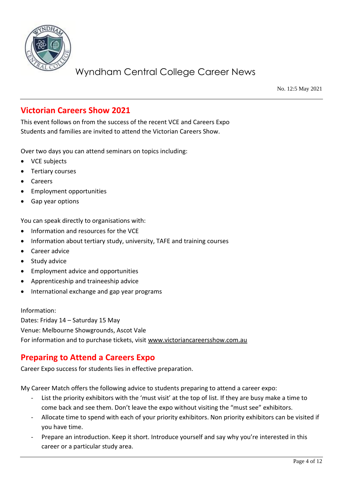

No. 12:5 May 2021

# **Victorian Careers Show 2021**

This event follows on from the success of the recent VCE and Careers Expo Students and families are invited to attend the Victorian Careers Show.

Over two days you can attend seminars on topics including:

- VCE subjects
- Tertiary courses
- Careers
- Employment opportunities
- Gap year options

You can speak directly to organisations with:

- Information and resources for the VCE
- Information about tertiary study, university, TAFE and training courses
- Career advice
- Study advice
- Employment advice and opportunities
- Apprenticeship and traineeship advice
- International exchange and gap year programs

Information:

Dates: Friday 14 – Saturday 15 May Venue: Melbourne Showgrounds, Ascot Vale For information and to purchase tickets, visit [www.victoriancareersshow.com.au](http://www.victoriancareersshow.com.au/)

# **Preparing to Attend a Careers Expo**

Career Expo success for students lies in effective preparation.

My Career Match offers the following advice to students preparing to attend a career expo:

- List the priority exhibitors with the 'must visit' at the top of list. If they are busy make a time to come back and see them. Don't leave the expo without visiting the "must see" exhibitors.
- Allocate time to spend with each of your priority exhibitors. Non priority exhibitors can be visited if you have time.
- Prepare an introduction. Keep it short. Introduce yourself and say why you're interested in this career or a particular study area.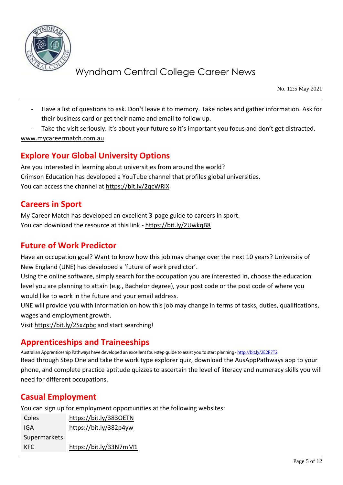

No. 12:5 May 2021

- Have a list of questions to ask. Don't leave it to memory. Take notes and gather information. Ask for their business card or get their name and email to follow up.
- Take the visit seriously. It's about your future so it's important you focus and don't get distracted. [www.mycareermatch.com.au](http://www.mycareermatch.com.au/)

# **Explore Your Global University Options**

Are you interested in learning about universities from around the world? Crimson Education has developed a YouTube channel that profiles global universities. You can access the channel at<https://bit.ly/2qcWRiX>

## **Careers in Sport**

My Career Match has developed an excellent 3-page guide to careers in sport. You can download the resource at this link - <https://bit.ly/2UwkqB8>

# **Future of Work Predictor**

Have an occupation goal? Want to know how this job may change over the next 10 years? University of New England (UNE) has developed a 'future of work predictor'.

Using the online software, simply search for the occupation you are interested in, choose the education level you are planning to attain (e.g., Bachelor degree), your post code or the post code of where you would like to work in the future and your email address.

UNE will provide you with information on how this job may change in terms of tasks, duties, qualifications, wages and employment growth.

Visi[t https://bit.ly/2SxZpbc](https://bit.ly/2SxZpbc) and start searching!

# **Apprenticeships and Traineeships**

Australian Apprenticeship Pathways have developed an excellent four-step quide to assist you to start planning - http://bit.ly/2E2R7T2 Read through Step One and take the work type explorer quiz, download the AusAppPathways app to your phone, and complete practice aptitude quizzes to ascertain the level of literacy and numeracy skills you will need for different occupations.

# **Casual Employment**

You can sign up for employment opportunities at the following websites:

| Coles        | https://bit.ly/3830ETN |
|--------------|------------------------|
| IGA          | https://bit.ly/382p4yw |
| Supermarkets |                        |
| KFC.         | https://bit.ly/33N7mM1 |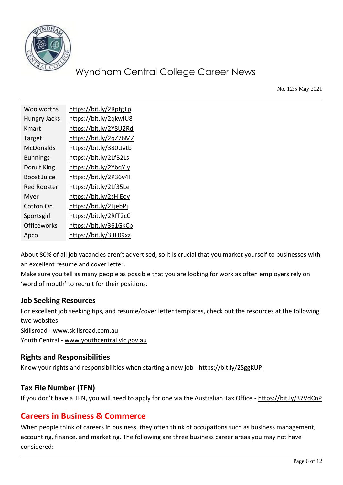

No. 12:5 May 2021

| Woolworths          | https://bit.ly/2RptgTp |
|---------------------|------------------------|
| <b>Hungry Jacks</b> | https://bit.ly/2qkwIU8 |
| Kmart               | https://bit.ly/2Y8U2Rd |
| Target              | https://bit.ly/2qZ76MZ |
| McDonalds           | https://bit.ly/380Uvtb |
| <b>Bunnings</b>     | https://bit.ly/2LfB2Ls |
| Donut King          | https://bit.ly/2YbqYly |
| Boost Juice         | https://bit.ly/2P36v4I |
| Red Rooster         | https://bit.ly/2Lf35Le |
| Myer                | https://bit.ly/2sHiEov |
| Cotton On           | https://bit.ly/2LjebPj |
| Sportsgirl          | https://bit.ly/2RfT2cC |
| Officeworks         | https://bit.ly/361GkCp |
| Apco                | https://bit.ly/33F09xz |

About 80% of all job vacancies aren't advertised, so it is crucial that you market yourself to businesses with an excellent resume and cover letter.

Make sure you tell as many people as possible that you are looking for work as often employers rely on 'word of mouth' to recruit for their positions.

## **Job Seeking Resources**

For excellent job seeking tips, and resume/cover letter templates, check out the resources at the following two websites:

Skillsroad - [www.skillsroad.com.au](http://www.skillsroad.com.au/)  Youth Central - [www.youthcentral.vic.gov.au](http://www.youthcentral.vic.gov.au/)

## **Rights and Responsibilities**

Know your rights and responsibilities when starting a new job - <https://bit.ly/2SggKUP>

## **Tax File Number (TFN)**

If you don't have a TFN, you will need to apply for one via the Australian Tax Office - <https://bit.ly/37VdCnP>

# **Careers in Business & Commerce**

When people think of careers in business, they often think of occupations such as business management, accounting, finance, and marketing. The following are three business career areas you may not have considered: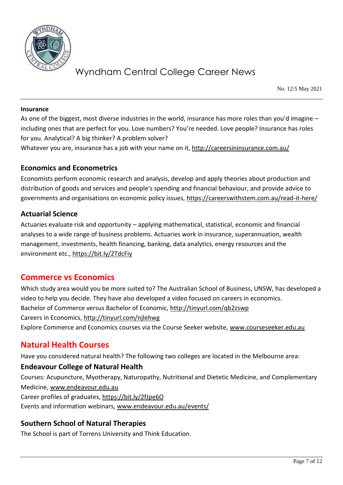

No. 12:5 May 2021

#### **Insurance**

As one of the biggest, most diverse industries in the world, insurance has more roles than you'd imagine – including ones that are perfect for you. Love numbers? You're needed. Love people? Insurance has roles for you. Analytical? A big thinker? A problem solver?

Whatever you are, insurance has a job with your name on it,<http://careersininsurance.com.au/>

#### **Economics and Econometrics**

Economists perform economic research and analysis, develop and apply theories about production and distribution of goods and services and people's spending and financial behaviour, and provide advice to governments and organisations on economic policy issues,<https://careerswithstem.com.au/read-it-here/>

#### **Actuarial Science**

Actuaries evaluate risk and opportunity – applying mathematical, statistical, economic and financial analyses to a wide range of business problems. Actuaries work in insurance, superannuation, wealth management, investments, health financing, banking, data analytics, energy resources and the environment etc.,<https://bit.ly/2TdcFiy>

# **Commerce vs Economics**

Which study area would you be more suited to? The Australian School of Business, UNSW, has developed a video to help you decide. They have also developed a video focused on careers in economics. Bachelor of Commerce versus Bachelor of Economic,<http://tinyurl.com/qb2zswp> Careers in Economics,<http://tinyurl.com/njlehwg> Explore Commerce and Economics courses via the Course Seeker website, [www.courseseeker.edu.au](http://www.courseseeker.edu.au/)

# **Natural Health Courses**

Have you considered natural health? The following two colleges are located in the Melbourne area:

## **Endeavour College of Natural Health**

Courses: Acupuncture, Myotherapy, Naturopathy, Nutritional and Dietetic Medicine, and Complementary Medicine, [www.endeavour.edu.au](http://www.endeavour.edu.au/) Career profiles of graduates,<https://bit.ly/2fJpe6O>

Events and information webinars, [www.endeavour.edu.au/events/](http://www.endeavour.edu.au/events/)

## **Southern School of Natural Therapies**

The School is part of Torrens University and Think Education.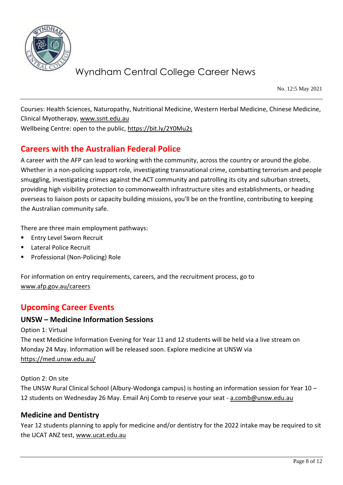

No. 12:5 May 2021

Courses: Health Sciences, Naturopathy, Nutritional Medicine, Western Herbal Medicine, Chinese Medicine, Clinical Myotherapy, [www.ssnt.edu.au](http://www.ssnt.edu.au/)

Wellbeing Centre: open to the public,<https://bit.ly/2Y0Mu2s>

# **Careers with the Australian Federal Police**

A career with the AFP can lead to working with the community, across the country or around the globe. Whether in a non-policing support role, investigating transnational crime, combatting terrorism and people smuggling, investigating crimes against the ACT community and patrolling its city and suburban streets, providing high visibility protection to commonwealth infrastructure sites and establishments, or heading overseas to liaison posts or capacity building missions, you'll be on the frontline, contributing to keeping the Australian community safe.

There are three main employment pathways:

- **Entry Level Sworn Recruit**
- Lateral Police Recruit
- Professional (Non-Policing) Role

For information on entry requirements, careers, and the recruitment process, go to [www.afp.gov.au/careers](http://www.afp.gov.au/careers)

# **Upcoming Career Events**

#### **UNSW – Medicine Information Sessions**

Option 1: Virtual

The next Medicine Information Evening for Year 11 and 12 students will be held via a live stream on Monday 24 May. Information will be released soon. Explore medicine at UNSW via <https://med.unsw.edu.au/>

#### Option 2: On site

The UNSW Rural Clinical School (Albury-Wodonga campus) is hosting an information session for Year 10 – 12 students on Wednesday 26 May. Email Anj Comb to reserve your seat - [a.comb@unsw.edu.au](mailto:a.comb@unsw.edu.au)

#### **Medicine and Dentistry**

Year 12 students planning to apply for medicine and/or dentistry for the 2022 intake may be required to sit the UCAT ANZ test, [www.ucat.edu.au](http://www.ucat.edu.au/)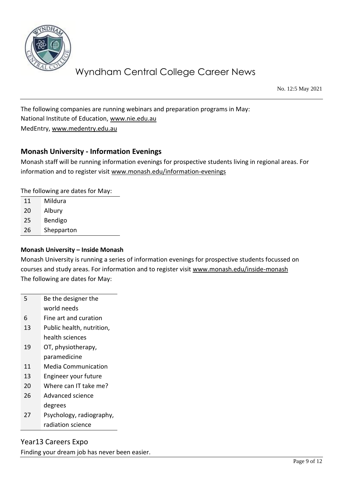

No. 12:5 May 2021

The following companies are running webinars and preparation programs in May: National Institute of Education, [www.nie.edu.au](http://www.nie.edu.au/) MedEntry, [www.medentry.edu.au](http://www.medentry.edu.au/)

## **Monash University - Information Evenings**

Monash staff will be running information evenings for prospective students living in regional areas. For information and to register visit [www.monash.edu/information-evenings](http://www.monash.edu/information-evenings)

The following are dates for May:

- 11 Mildura
- 20 Albury
- 25 Bendigo
- 26 Shepparton

#### **Monash University – Inside Monash**

Monash University is running a series of information evenings for prospective students focussed on courses and study areas. For information and to register visit [www.monash.edu/inside-monash](http://www.monash.edu/inside-monash) The following are dates for May:

- 5 Be the designer the world needs 6 Fine art and curation 13 Public health, nutrition, health sciences 19 OT, physiotherapy, paramedicine 11 Media Communication 13 Engineer your future 20 Where can IT take me?
- 26 Advanced science degrees
- 27 Psychology, radiography, radiation science

Year13 Careers Expo Finding your dream job has never been easier.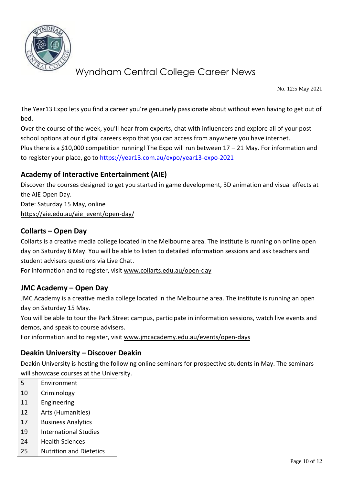

No. 12:5 May 2021

The Year13 Expo lets you find a career you're genuinely passionate about without even having to get out of bed.

Over the course of the week, you'll hear from experts, chat with influencers and explore all of your postschool options at our digital careers expo that you can access from anywhere you have internet. Plus there is a \$10,000 competition running! The Expo will run between 17 - 21 May. For information and to register your place, go to<https://year13.com.au/expo/year13-expo-2021>

## **Academy of Interactive Entertainment (AIE)**

Discover the courses designed to get you started in game development, 3D animation and visual effects at the AIE Open Day. Date: Saturday 15 May, online

[https://aie.edu.au/aie\\_event/open-day/](https://aie.edu.au/aie_event/open-day/)

## **Collarts – Open Day**

Collarts is a creative media college located in the Melbourne area. The institute is running on online open day on Saturday 8 May. You will be able to listen to detailed information sessions and ask teachers and student advisers questions via Live Chat.

For information and to register, visit [www.collarts.edu.au/open-day](http://www.collarts.edu.au/open-day)

## **JMC Academy – Open Day**

JMC Academy is a creative media college located in the Melbourne area. The institute is running an open day on Saturday 15 May.

You will be able to tour the Park Street campus, participate in information sessions, watch live events and demos, and speak to course advisers.

For information and to register, visit [www.jmcacademy.edu.au/events/open-days](http://www.jmcacademy.edu.au/events/open-days)

## **Deakin University – Discover Deakin**

Deakin University is hosting the following online seminars for prospective students in May. The seminars will showcase courses at the University.

- 5 Environment
- 10 Criminology
- 11 Engineering
- 12 Arts (Humanities)
- 17 Business Analytics
- 19 International Studies
- 24 Health Sciences
- 25 Nutrition and Dietetics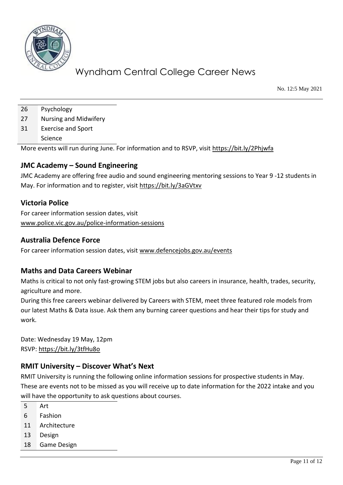

No. 12:5 May 2021

26 Psychology

27 Nursing and Midwifery

31 Exercise and Sport

Science

More events will run during June. For information and to RSVP, visit<https://bit.ly/2Phjwfa>

## **JMC Academy – Sound Engineering**

JMC Academy are offering free audio and sound engineering mentoring sessions to Year 9 -12 students in May. For information and to register, visit<https://bit.ly/3aGVtxv>

## **Victoria Police**

For career information session dates, visit [www.police.vic.gov.au/police-information-sessions](http://www.police.vic.gov.au/police-information-sessions)

## **Australia Defence Force**

For career information session dates, visit [www.defencejobs.gov.au/events](http://www.defencejobs.gov.au/events)

## **Maths and Data Careers Webinar**

Maths is critical to not only fast-growing STEM jobs but also careers in insurance, health, trades, security, agriculture and more.

During this free careers webinar delivered by Careers with STEM, meet three featured role models from our latest Maths & Data issue. Ask them any burning career questions and hear their tips for study and work.

Date: Wednesday 19 May, 12pm RSVP:<https://bit.ly/3tfHu8o>

## **RMIT University – Discover What's Next**

RMIT University is running the following online information sessions for prospective students in May. These are events not to be missed as you will receive up to date information for the 2022 intake and you will have the opportunity to ask questions about courses.

- 5 Art
- 6 Fashion
- 11 Architecture
- 13 Design
- 18 Game Design